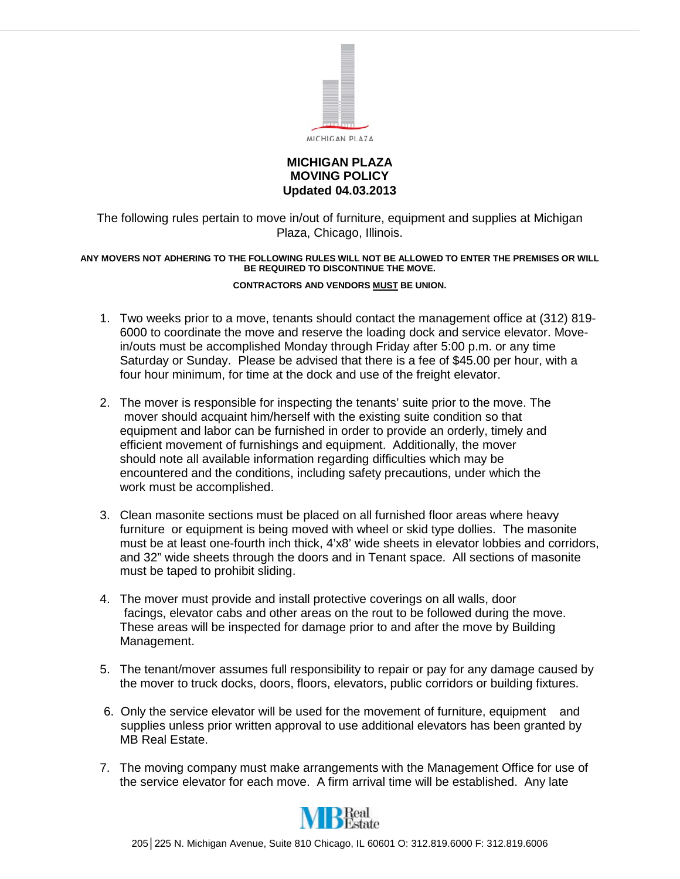

#### **MICHIGAN PLAZA MOVING POLICY Updated 04.03.2013**

The following rules pertain to move in/out of furniture, equipment and supplies at Michigan Plaza, Chicago, Illinois.

#### **ANY MOVERS NOT ADHERING TO THE FOLLOWING RULES WILL NOT BE ALLOWED TO ENTER THE PREMISES OR WILL BE REQUIRED TO DISCONTINUE THE MOVE.**

#### **CONTRACTORS AND VENDORS MUST BE UNION.**

- 1. Two weeks prior to a move, tenants should contact the management office at (312) 819- 6000 to coordinate the move and reserve the loading dock and service elevator. Movein/outs must be accomplished Monday through Friday after 5:00 p.m. or any time Saturday or Sunday. Please be advised that there is a fee of \$45.00 per hour, with a four hour minimum, for time at the dock and use of the freight elevator.
- 2. The mover is responsible for inspecting the tenants' suite prior to the move. The mover should acquaint him/herself with the existing suite condition so that equipment and labor can be furnished in order to provide an orderly, timely and efficient movement of furnishings and equipment. Additionally, the mover should note all available information regarding difficulties which may be encountered and the conditions, including safety precautions, under which the work must be accomplished.
- 3. Clean masonite sections must be placed on all furnished floor areas where heavy furniture or equipment is being moved with wheel or skid type dollies. The masonite must be at least one-fourth inch thick, 4'x8' wide sheets in elevator lobbies and corridors, and 32" wide sheets through the doors and in Tenant space. All sections of masonite must be taped to prohibit sliding.
- 4. The mover must provide and install protective coverings on all walls, door facings, elevator cabs and other areas on the rout to be followed during the move. These areas will be inspected for damage prior to and after the move by Building Management.
- 5. The tenant/mover assumes full responsibility to repair or pay for any damage caused by the mover to truck docks, doors, floors, elevators, public corridors or building fixtures.
- 6. Only the service elevator will be used for the movement of furniture, equipment and supplies unless prior written approval to use additional elevators has been granted by MB Real Estate.
- 7. The moving company must make arrangements with the Management Office for use of the service elevator for each move. A firm arrival time will be established. Any late

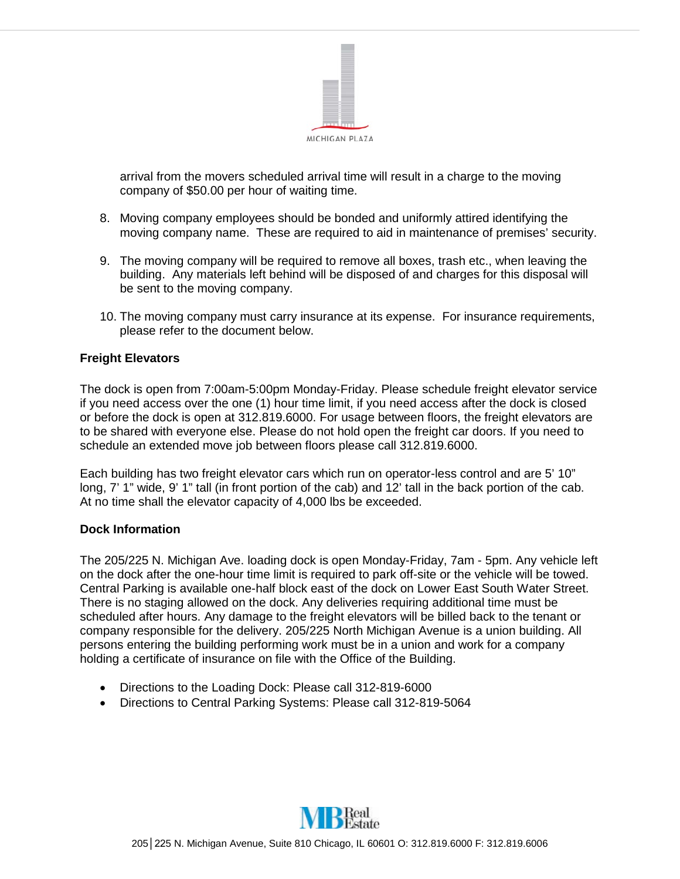

arrival from the movers scheduled arrival time will result in a charge to the moving company of \$50.00 per hour of waiting time.

- 8. Moving company employees should be bonded and uniformly attired identifying the moving company name. These are required to aid in maintenance of premises' security.
- 9. The moving company will be required to remove all boxes, trash etc., when leaving the building. Any materials left behind will be disposed of and charges for this disposal will be sent to the moving company.
- 10. The moving company must carry insurance at its expense. For insurance requirements, please refer to the document below.

# **Freight Elevators**

The dock is open from 7:00am-5:00pm Monday-Friday. Please schedule freight elevator service if you need access over the one (1) hour time limit, if you need access after the dock is closed or before the dock is open at 312.819.6000. For usage between floors, the freight elevators are to be shared with everyone else. Please do not hold open the freight car doors. If you need to schedule an extended move job between floors please call 312.819.6000.

Each building has two freight elevator cars which run on operator-less control and are 5' 10" long, 7' 1" wide, 9' 1" tall (in front portion of the cab) and 12' tall in the back portion of the cab. At no time shall the elevator capacity of 4,000 lbs be exceeded.

## **Dock Information**

The 205/225 N. Michigan Ave. loading dock is open Monday-Friday, 7am - 5pm. Any vehicle left on the dock after the one-hour time limit is required to park off-site or the vehicle will be towed. Central Parking is available one-half block east of the dock on Lower East South Water Street. There is no staging allowed on the dock. Any deliveries requiring additional time must be scheduled after hours. Any damage to the freight elevators will be billed back to the tenant or company responsible for the delivery. 205/225 North Michigan Avenue is a union building. All persons entering the building performing work must be in a union and work for a company holding a certificate of insurance on file with the Office of the Building.

- Directions to the Loading Dock: Please call 312-819-6000
- Directions to Central Parking Systems: Please call 312-819-5064

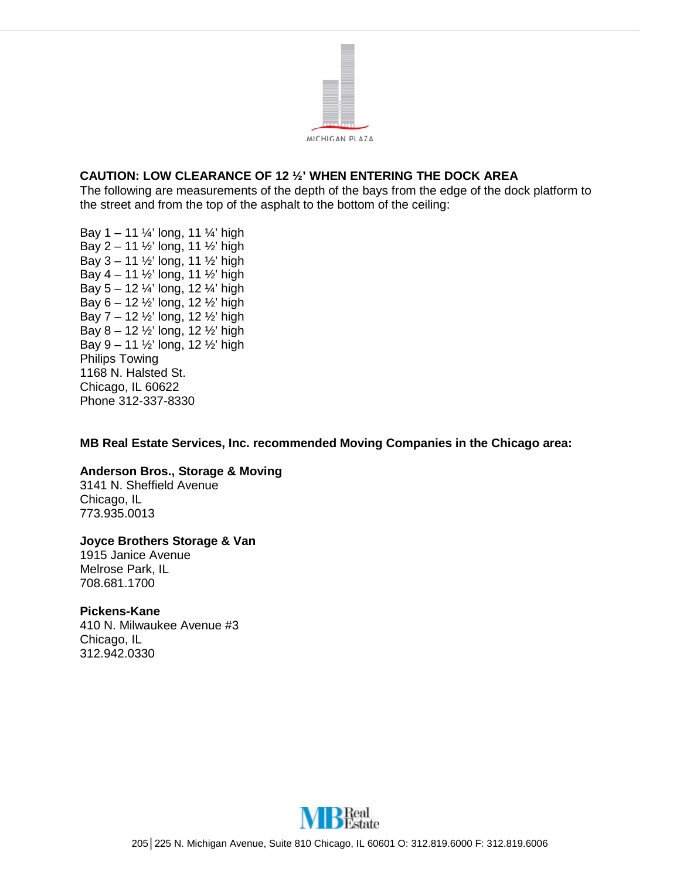

# **CAUTION: LOW CLEARANCE OF 12 ½' WHEN ENTERING THE DOCK AREA**

The following are measurements of the depth of the bays from the edge of the dock platform to the street and from the top of the asphalt to the bottom of the ceiling:

Bay  $1 - 11 \frac{1}{4}$  long, 11  $\frac{1}{4}$  high Bay 2 – 11 ½' long, 11 ½' high Bay 3 – 11 ½' long, 11 ½' high Bay 4 – 11 ½' long, 11 ½' high Bay  $5 - 12 \frac{1}{4}$  long, 12  $\frac{1}{4}$  high Bay 6 – 12 ½' long, 12 ½' high Bay 7 – 12 ½' long, 12 ½' high Bay  $8 - 12 \frac{1}{2}$  long, 12  $\frac{1}{2}$  high Bay  $9 - 11 \frac{1}{2}$  long, 12  $\frac{1}{2}$  high Philips Towing 1168 N. Halsted St. Chicago, IL 60622 Phone 312-337-8330

**MB Real Estate Services, Inc. recommended Moving Companies in the Chicago area:**

## **Anderson Bros., Storage & Moving**

3141 N. Sheffield Avenue Chicago, IL 773.935.0013

## **Joyce Brothers Storage & Van**

1915 Janice Avenue Melrose Park, IL 708.681.1700

#### **Pickens-Kane**

410 N. Milwaukee Avenue #3 Chicago, IL 312.942.0330

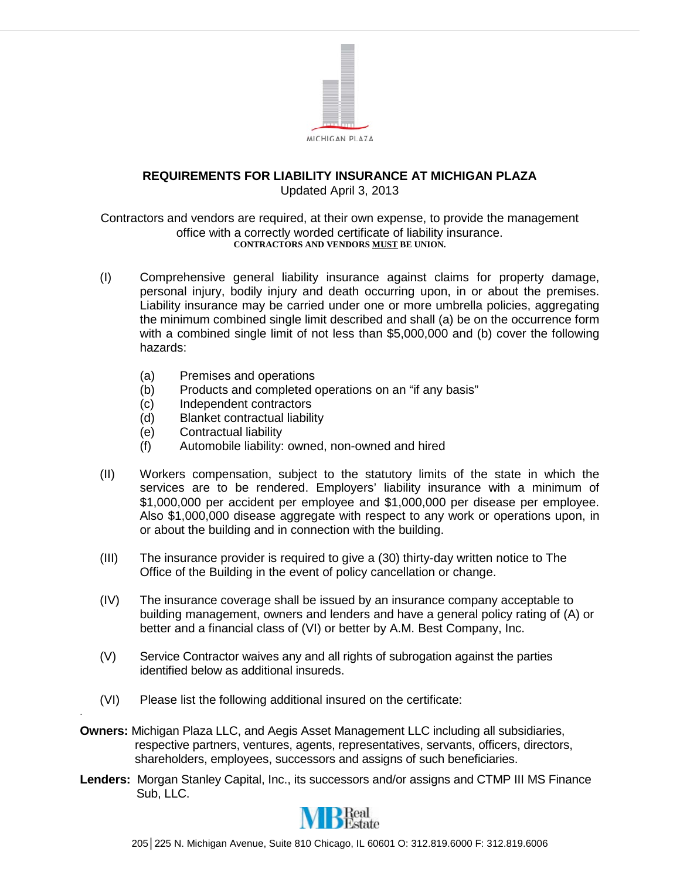

#### **REQUIREMENTS FOR LIABILITY INSURANCE AT MICHIGAN PLAZA** Updated April 3, 2013

Contractors and vendors are required, at their own expense, to provide the management office with a correctly worded certificate of liability insurance. **CONTRACTORS AND VENDORS MUST BE UNION.**

- (I) Comprehensive general liability insurance against claims for property damage, personal injury, bodily injury and death occurring upon, in or about the premises. Liability insurance may be carried under one or more umbrella policies, aggregating the minimum combined single limit described and shall (a) be on the occurrence form with a combined single limit of not less than \$5,000,000 and (b) cover the following hazards:
	- (a) Premises and operations
	- (b) Products and completed operations on an "if any basis"<br>(c) Independent contractors
	- Independent contractors
	- (d) Blanket contractual liability
	- (e) Contractual liability

.

- (f) Automobile liability: owned, non-owned and hired
- (II) Workers compensation, subject to the statutory limits of the state in which the services are to be rendered. Employers' liability insurance with a minimum of \$1,000,000 per accident per employee and \$1,000,000 per disease per employee. Also \$1,000,000 disease aggregate with respect to any work or operations upon, in or about the building and in connection with the building.
- (III) The insurance provider is required to give a (30) thirty-day written notice to The Office of the Building in the event of policy cancellation or change.
- (IV) The insurance coverage shall be issued by an insurance company acceptable to building management, owners and lenders and have a general policy rating of (A) or better and a financial class of (VI) or better by A.M. Best Company, Inc.
- (V) Service Contractor waives any and all rights of subrogation against the parties identified below as additional insureds.
- (VI) Please list the following additional insured on the certificate:
- **Owners:** Michigan Plaza LLC, and Aegis Asset Management LLC including all subsidiaries, respective partners, ventures, agents, representatives, servants, officers, directors, shareholders, employees, successors and assigns of such beneficiaries.
- **Lenders:** Morgan Stanley Capital, Inc., its successors and/or assigns and CTMP III MS Finance Sub, LLC.